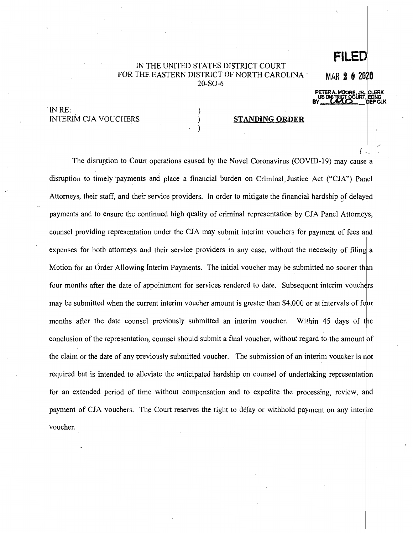## IN THE UNITED STATES DISTRICT COURT FOR THE EASTERN DISTRICT OF NORTH CAROLINA· 20-SO-6

) ) ) MAR **2 0 2oio** 

**PETER** A. **MOO~~I :JR .. ICLERK**  US DISTRICT COURT, EDNC<br>BY **UMD** DEP CLK

/

**FILED** 

IN RE: INTERIM CIA VOUCHERS

## **STANDING ORDER**

The disruption to Court operations caused by the Novel Coronavirus (COVID-19) may cause a disruption to timely 'payments and place a financial burden on Criminal Justice Act ("CJA") Panel Attorneys, their staff, and their service providers. In order to mitigate the financial hardship of delayed payments and to ensure the continued high quality of criminal representation by CJA Panel Attorneys, counsel providing representation under the CJA may submit interim vouchers for payment of fees and expenses for both attorneys and their service providers in any case, without the necessity of filing a Motion for an Order Allowing Interim Payments. The initial voucher may be submitted no sooner than four months after the date of appointment for services rendered to date. Subsequent interim vouchers may be submitted when the current interim voucher amount is greater than \$4,000 or at intervals of four months after the date counsel previously submitted an interim voucher. Within 45 days of the conclusion of the representation, counsel should submit a final voucher, without regard to the amount of the claim or the date of any previously submitted voucher. The submission of an interim voucher is not required but is intended to alleviate the anticipated hardship on counsel of undertaking representation for an extended period of time without compensation and to expedite the processing, review, and payment of CJA vouchers. The Court reserves the right to delay or withhold payment on any interim voucher.